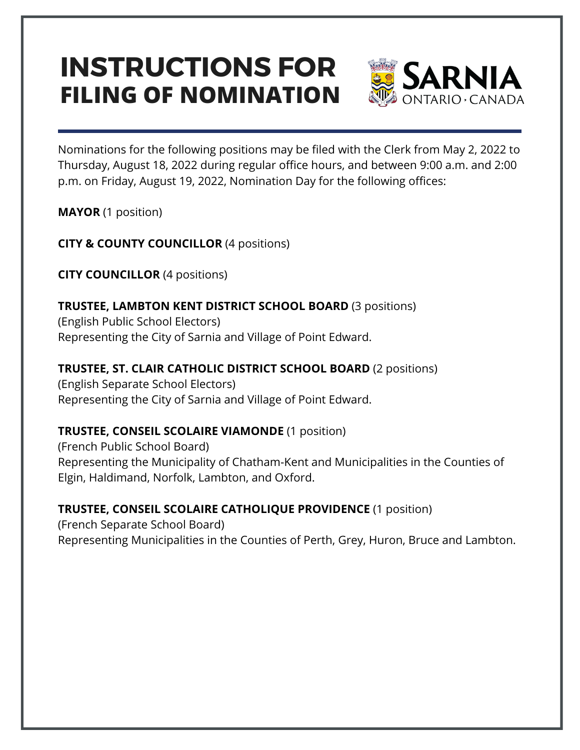## **FILING OF NOMINATION INSTRUCTIONS FOR**



Nominations for the following positions may be filed with the Clerk from May 2, 2022 to Thursday, August 18, 2022 during regular office hours, and between 9:00 a.m. and 2:00 p.m. on Friday, August 19, 2022, Nomination Day for the following offices:

**MAYOR** (1 position)

**CITY & COUNTY COUNCILLOR** (4 positions)

**CITY COUNCILLOR** (4 positions)

**TRUSTEE, LAMBTON KENT DISTRICT SCHOOL BOARD** (3 positions)

(English Public School Electors) Representing the City of Sarnia and Village of Point Edward.

**TRUSTEE, ST. CLAIR CATHOLIC DISTRICT SCHOOL BOARD** (2 positions) (English Separate School Electors) Representing the City of Sarnia and Village of Point Edward.

## **TRUSTEE, CONSEIL SCOLAIRE VIAMONDE** (1 position)

(French Public School Board) Representing the Municipality of Chatham-Kent and Municipalities in the Counties of Elgin, Haldimand, Norfolk, Lambton, and Oxford.

**TRUSTEE, CONSEIL SCOLAIRE CATHOLIQUE PROVIDENCE** (1 position) (French Separate School Board) Representing Municipalities in the Counties of Perth, Grey, Huron, Bruce and Lambton.